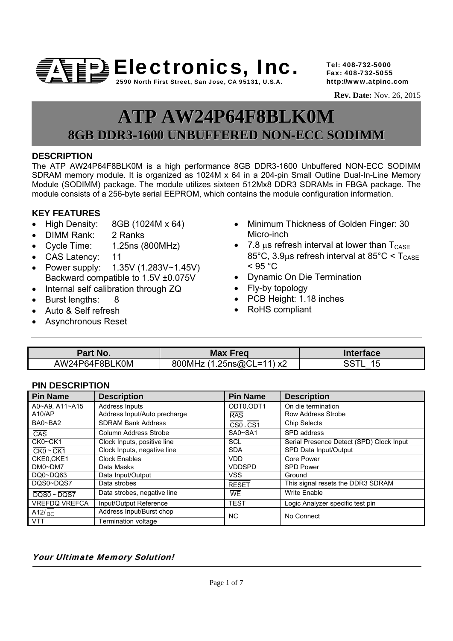

Tel: 408-732-5000 Fax: 408-732-5055 http://www.atpinc.com

 **Rev. Date:** Nov. 26, 2015

# **ATP AW24P64F8BLK0M 8GB DDR3-1600 UNBUFFERED NON-ECC SODIMM**

# **DESCRIPTION**

The ATP AW24P64F8BLK0M is a high performance 8GB DDR3-1600 Unbuffered NON-ECC SODIMM SDRAM memory module. It is organized as 1024M x 64 in a 204-pin Small Outline Dual-In-Line Memory Module (SODIMM) package. The module utilizes sixteen 512Mx8 DDR3 SDRAMs in FBGA package. The module consists of a 256-byte serial EEPROM, which contains the module configuration information.

# **KEY FEATURES**

- $\bullet$  High Density: 8GB (1024M x 64)
- DIMM Rank: 2 Ranks
- Cycle Time: 1.25ns (800MHz)
- CAS Latency: 11
- Power supply: 1.35V (1.283V~1.45V) Backward compatible to 1.5V ±0.075V
- Internal self calibration through ZQ
- Burst lengths: 8
- Auto & Self refresh
- Asynchronous Reset
- Minimum Thickness of Golden Finger: 30 Micro-inch
- 7.8  $\mu$ s refresh interval at lower than  $T_{\text{CASE}}$ 85°C, 3.9us refresh interval at 85°C  $\leq T_{\text{CASE}}$  $<$  95  $^{\circ}$ C
- Dynamic On Die Termination
- Fly-by topology
- PCB Height: 1.18 inches
- RoHS compliant

| Part No.       | <b>Max Freg</b>                         | <b>Interface</b>         |
|----------------|-----------------------------------------|--------------------------|
| AW24P64F8BLK0M | <b>25ns@</b> ∩'<br>800MH<br>⁄ ∨'<br>- 1 | . .<br>. .<br>,,<br>l ta |

# **PIN DESCRIPTION**

| <b>Pin Name</b>                        | <b>Description</b>           | <b>Pin Name</b> | <b>Description</b>                       |
|----------------------------------------|------------------------------|-----------------|------------------------------------------|
| A0~A9, A11~A15                         | Address Inputs               | ODT0.ODT1       | On die termination                       |
| A10/AP                                 | Address Input/Auto precharge | <b>RAS</b>      | Row Address Strobe                       |
| BA0~BA2                                | <b>SDRAM Bank Address</b>    | CS0, CS1        | <b>Chip Selects</b>                      |
| $\overline{CAS}$                       | Column Address Strobe        | SA0~SA1         | SPD address                              |
| CK0~CK1                                | Clock Inputs, positive line  | <b>SCL</b>      | Serial Presence Detect (SPD) Clock Input |
| $CKO \sim CK1$                         | Clock Inputs, negative line  | <b>SDA</b>      | SPD Data Input/Output                    |
| CKE0.CKE1                              | <b>Clock Enables</b>         | <b>VDD</b>      | Core Power                               |
| $DMO \sim DM7$                         | Data Masks                   | <b>VDDSPD</b>   | <b>SPD Power</b>                         |
| DQ0~DQ63                               | Data Input/Output            | VSS             | Ground                                   |
| DQS0~DQS7                              | Data strobes                 | <b>RESET</b>    | This signal resets the DDR3 SDRAM        |
| $\overline{DQSO} \sim \overline{DQST}$ | Data strobes, negative line  | <b>WE</b>       | <b>Write Enable</b>                      |
| <b>VREFDQ VREFCA</b>                   | Input/Output Reference       | <b>TEST</b>     | Logic Analyzer specific test pin         |
| A12/ $_{\rm BC}$                       | Address Input/Burst chop     | <b>NC</b>       | No Connect                               |
| <b>VTT</b>                             | Termination voltage          |                 |                                          |

# Your Ultimate Memory Solution!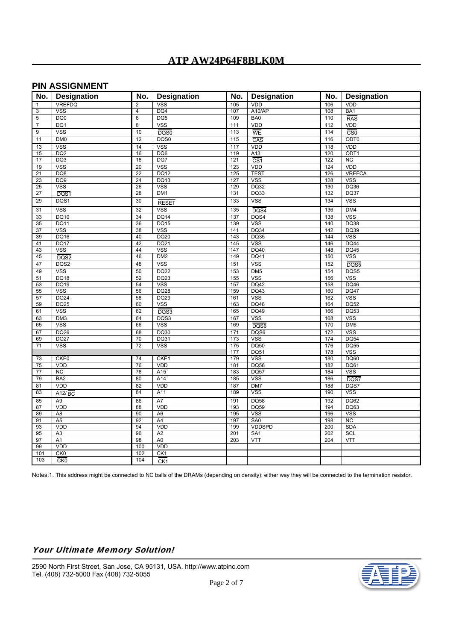# **PIN ASSIGNMENT**

| No.                   | <b>Designation</b>  | No.                     | <b>Designation</b> | No.              | <b>Designation</b>      | No.        | <b>Designation</b>      |
|-----------------------|---------------------|-------------------------|--------------------|------------------|-------------------------|------------|-------------------------|
| $\mathbf{1}$          | <b>VREFDQ</b>       | $\overline{2}$          | <b>VSS</b>         | 105              | <b>VDD</b>              | 106        | VDD                     |
| 3                     | <b>VSS</b>          | $\overline{\mathbf{4}}$ | DQ4                | 107              | A10/AP                  | 108        | BA <sub>1</sub>         |
| 5                     | DQ <sub>0</sub>     | 6                       | DQ <sub>5</sub>    | 109              | BA <sub>0</sub>         | 110        | RAS                     |
| $\overline{7}$        | DQ1                 | 8                       | <b>VSS</b>         | 111              | VDD                     | 112        | VDD                     |
| 9                     | <b>VSS</b>          | 10                      | DQS0               | 113              | WE                      | 114        | $\overline{\text{CS0}}$ |
| 11                    | DM <sub>0</sub>     | 12                      | DQS0               | 115              | $\overline{CAS}$        | 116        | ODT <sub>0</sub>        |
| 13                    | <b>VSS</b>          | 14                      | <b>VSS</b>         | 117              | VDD                     | 118        | VDD                     |
| 15                    | DQ2                 | 16                      | DQ6                | 119              | A13                     | 120        | ODT <sub>1</sub>        |
| 17                    | DQ3                 | 18                      | DQ7                | 121              | $\overline{\text{CS1}}$ | 122        | <b>NC</b>               |
| 19                    | <b>VSS</b>          | 20                      | <b>VSS</b>         | 123              | VDD                     | 124        | VDD                     |
| 21                    | DQ8                 | $\overline{22}$         | <b>DQ12</b>        | 125              | <b>TEST</b>             | 126        | <b>VREFCA</b>           |
| 23                    | DQ <sub>9</sub>     | 24                      | <b>DQ13</b>        | 127              | <b>VSS</b>              | 128        | <b>VSS</b>              |
| 25                    | <b>VSS</b>          | 26                      | <b>VSS</b>         | 129              | <b>DQ32</b>             | 130        | DQ36                    |
| 27                    | DQS1                | 28                      | DM <sub>1</sub>    | 131              | DQ33                    | 132        | <b>DQ37</b>             |
| 29                    | DQS1                | 30                      | <b>RESET</b>       | $\overline{133}$ | <b>VSS</b>              | 134        | <b>VSS</b>              |
| 31                    | <b>VSS</b>          | 32                      | <b>VSS</b>         | $\overline{135}$ |                         | 136        | DM4                     |
|                       | <b>DQ10</b>         | 34                      | DQ14               | 137              | $\overline{DQS4}$       | 138        | <b>VSS</b>              |
| 33<br>$\overline{35}$ | <b>DQ11</b>         | 36                      | <b>DQ15</b>        | 139              | DQS4<br><b>VSS</b>      | 140        | DQ38                    |
| 37                    | <b>VSS</b>          | 38                      | <b>VSS</b>         | 141              | <b>DQ34</b>             | 142        | DQ39                    |
| 39                    | DQ16                | 40                      | DQ20               | 143              | DQ35                    | 144        | <b>VSS</b>              |
| 41                    | <b>DQ17</b>         | 42                      | DQ21               | 145              | <b>VSS</b>              | 146        | <b>DQ44</b>             |
| 43                    | <b>VSS</b>          | 44                      | <b>VSS</b>         | 147              | <b>DQ40</b>             | 148        | <b>DQ45</b>             |
| 45                    | DQS2                | 46                      | DM2                | 149              | DQ41                    | 150        | <b>VSS</b>              |
| 47                    | DQS2                | 48                      | <b>VSS</b>         | 151              | <b>VSS</b>              | 152        |                         |
|                       | <b>VSS</b>          | 50                      | DQ22               |                  | DM <sub>5</sub>         |            | DQS5<br>DQS5            |
| 49<br>51              | <b>DQ18</b>         | 52                      | <b>DQ23</b>        | 153<br>155       | <b>VSS</b>              | 154<br>156 | <b>VSS</b>              |
| 53                    | <b>DQ19</b>         | 54                      | <b>VSS</b>         | 157              | <b>DQ42</b>             | 158        | <b>DQ46</b>             |
| 55                    | <b>VSS</b>          | 56                      | <b>DQ28</b>        | 159              | <b>DQ43</b>             | 160        | DQ47                    |
| 57                    | <b>DQ24</b>         | 58                      | <b>DQ29</b>        | 161              | <b>VSS</b>              | 162        | <b>VSS</b>              |
| 59                    | <b>DQ25</b>         | 60                      | <b>VSS</b>         | 163              | <b>DQ48</b>             | 164        | <b>DQ52</b>             |
| 61                    | <b>VSS</b>          | 62                      | $\overline{DQS3}$  | 165              | <b>DQ49</b>             | 166        | <b>DQ53</b>             |
| 63                    | DM3                 | 64                      | DQS3               | 167              | <b>VSS</b>              | 168        | <b>VSS</b>              |
| 65                    | <b>VSS</b>          | 66                      | <b>VSS</b>         | 169              | $\overline{DQSS6}$      | 170        | DM <sub>6</sub>         |
| 67                    | <b>DQ26</b>         | 68                      | DQ30               | $\frac{1}{171}$  | DQS6                    | 172        | <b>VSS</b>              |
| 69                    | <b>DQ27</b>         | 70                      | DQ31               | 173              | <b>VSS</b>              | 174        | <b>DQ54</b>             |
| 71                    | <b>VSS</b>          | $\overline{72}$         | <b>VSS</b>         | 175              | <b>DQ50</b>             | 176        | <b>DQ55</b>             |
|                       |                     |                         |                    | 177              | <b>DQ51</b>             | 178        | <b>VSS</b>              |
| 73                    | CKE0                | 74                      | CKE1               | 179              | <b>VSS</b>              | 180        | DQ60                    |
| 75                    | VDD                 | 76                      | VDD                | 181              | DQ56                    | 182        | DQ61                    |
| 77                    | <b>NC</b>           | 78                      | $A15$ <sup>1</sup> | 183              | <b>DQ57</b>             | 184        | <b>VSS</b>              |
| 79                    | BA <sub>2</sub>     | 80                      | A14                | 185              | <b>VSS</b>              | 186        | DQS7                    |
| 81                    | VDD                 | 82                      | VDD                | 187              | DM7                     | 188        | DQS7                    |
| 83                    | $A12/\overline{BC}$ | 84                      | A11                | 189              | <b>VSS</b>              | 190        | <b>VSS</b>              |
| 85                    | A <sub>9</sub>      | 86                      | A7                 | 191              | <b>DQ58</b>             | 192        | <b>DQ62</b>             |
| 87                    | VDD                 | 88                      | VDD                | 193              | DQ59                    | 194        | DQ63                    |
| 89                    | A <sub>8</sub>      | 90                      | A <sub>6</sub>     | 195              | <b>VSS</b>              | 196        | <b>VSS</b>              |
| 91                    | A <sub>5</sub>      | 92                      | A4                 | 197              | SA0                     | 198        | <b>NC</b>               |
| 93                    | VDD                 | 94                      | VDD                | 199              | <b>VDDSPD</b>           | 200        | <b>SDA</b>              |
| 95                    | A <sub>3</sub>      | 96                      | A <sub>2</sub>     | 201              | SA <sub>1</sub>         | 202        | <b>SCL</b>              |
| 97                    | A1                  | 98                      | A <sub>0</sub>     | 203              | <b>VTT</b>              | 204        | <b>VTT</b>              |
| 99                    | VDD                 | 100                     | VDD                |                  |                         |            |                         |
| 101                   | CK <sub>0</sub>     | 102                     | CK1                |                  |                         |            |                         |
| 103                   | CKO                 | 104                     | CK1                |                  |                         |            |                         |

Notes:1. This address might be connected to NC balls of the DRAMs (depending on density); either way they will be connected to the termination resistor.

# Your Ultimate Memory Solution!

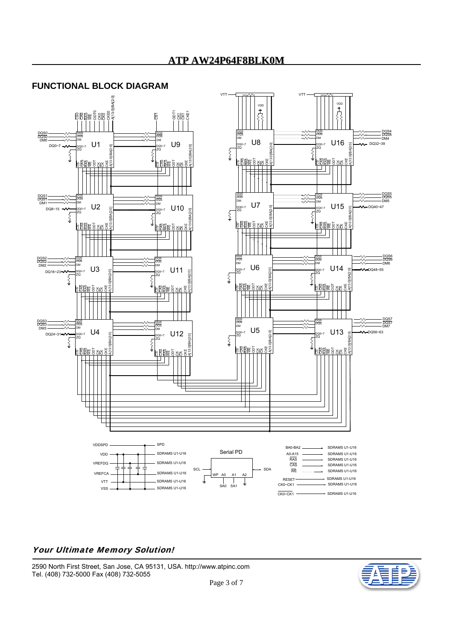# **ATP AW24P64F8BLK0M**

# **FUNCTIONAL BLOCK DIAGRAM**



#### Your Ultimate Memory Solution!

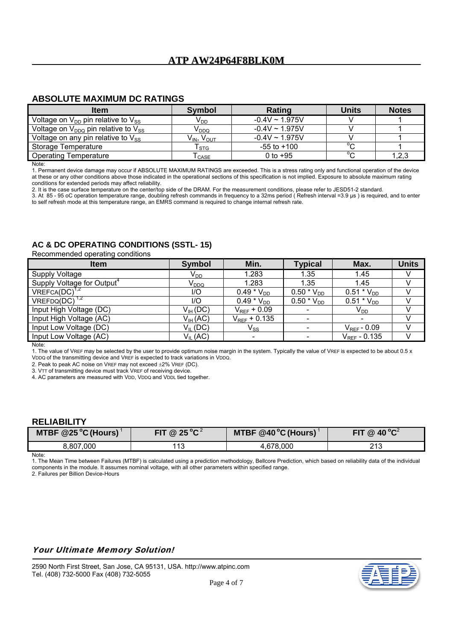# **ABSOLUTE MAXIMUM DC RATINGS**

| <b>Item</b>                                   | Symbol                       | Rating              | <b>Units</b> | <b>Notes</b> |
|-----------------------------------------------|------------------------------|---------------------|--------------|--------------|
| Voltage on $V_{DD}$ pin relative to $V_{SS}$  | V <sub>DD</sub>              | $-0.4V \sim 1.975V$ |              |              |
| Voltage on $V_{DDQ}$ pin relative to $V_{SS}$ | V <sub>DDQ</sub>             | $-0.4V \sim 1.975V$ |              |              |
| Voltage on any pin relative to $V_{SS}$       | $V_{IN}$ , $V_{OUT}$         | $-0.4V \sim 1.975V$ |              |              |
| Storage Temperature                           | $\mathsf{T}_{\texttt{STG}}$  | $-55$ to $+100$     | $\sim$       |              |
| <b>Operating Temperature</b>                  | $\mathsf{r}_{\mathsf{CASE}}$ | 0 to $+95$          | $\sim$       | 1, 2, 3      |

**Note** 

1. Permanent device damage may occur if ABSOLUTE MAXIMUM RATINGS are exceeded. This is a stress rating only and functional operation of the device at these or any other conditions above those indicated in the operational sections of this specification is not implied. Exposure to absolute maximum rating conditions for extended periods may affect reliability.

2. It is the case surface temperature on the center/top side of the DRAM. For the measurement conditions, please refer to JESD51-2 standard.

3. At 85 - 95 oC operation temperature range, doubling refresh commands in frequency to a 32ms period ( Refresh interval =3.9 µs ) is required, and to enter to self refresh mode at this temperature range, an EMRS command is required to change internal refresh rate.

# **AC & DC OPERATING CONDITIONS (SSTL- 15)**

Recommended operating conditions

| <b>Symbol</b>          | Min.                       | <b>Typical</b>           | Max.              | <b>Units</b> |
|------------------------|----------------------------|--------------------------|-------------------|--------------|
| $V_{DD}$               | 1.283                      | 1.35                     | 1.45              |              |
| V <sub>DDQ</sub>       | 1.283                      | 1.35                     | 1.45              |              |
| 1/O                    | 0.49 $*$ $V_{DD}$          | $0.50 * V_{DD}$          | $0.51 * V_{DD}$   |              |
| $\mathsf{U}\mathsf{O}$ | $0.49 * V_{DD}$            | $0.50 * V_{DD}$          | $0.51 * V_{DD}$   |              |
| $V_{IH} (DC)$          | $V_{REF}$ + 0.09           |                          | $V_{DD}$          |              |
| $V_{IH}$ (AC)          | $V_{REF}$ + 0.135          | $\overline{\phantom{a}}$ |                   |              |
| $V_{IL}$ (DC)          | $\mathsf{V}_{\mathsf{SS}}$ | $\overline{\phantom{a}}$ | $V_{REF}$ - 0.09  |              |
| $V_{IL}$ (AC)          | $\overline{\phantom{a}}$   |                          | $V_{REF} - 0.135$ |              |
|                        |                            |                          |                   |              |

Note:

1. The value of VREF may be selected by the user to provide optimum noise margin in the system. Typically the value of VREF is expected to be about 0.5 x VDDQ of the transmitting device and VREF is expected to track variations in VDDQ.

2. Peak to peak AC noise on VREF may not exceed  $\pm 2\%$  VREF (DC).

3. VTT of transmitting device must track VREF of receiving device.

4. AC parameters are measured with VDD, VDDQ and VDDL tied together.

# **RELIABILITY**

| MTBF @25 °C (Hours) | @ 25 °C $^2$ | MTBF @40 °C (Hours) | $40^{\circ}$ C $^{2}$<br>FIT.<br>$\circledR$ |
|---------------------|--------------|---------------------|----------------------------------------------|
| 8,807,000           | .1c<br>''    | 4.678.000           | າ 4 າ<br>د ا ∠                               |

Note:

1. The Mean Time between Failures (MTBF) is calculated using a prediction methodology, Bellcore Prediction, which based on reliability data of the individual components in the module. It assumes nominal voltage, with all other parameters within specified range.

2. Failures per Billion Device-Hours

# Your Ultimate Memory Solution!

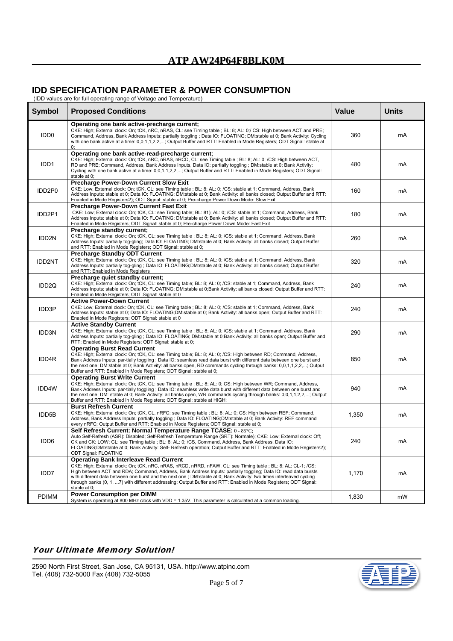# **IDD SPECIFICATION PARAMETER & POWER CONSUMPTION**

(IDD values are for full operating range of Voltage and Temperature)

| <b>Symbol</b>     | <b>Proposed Conditions</b>                                                                                                                                                                                                                                                                                                                                                                                                                                                                                                                   | <b>Value</b> | <b>Units</b> |
|-------------------|----------------------------------------------------------------------------------------------------------------------------------------------------------------------------------------------------------------------------------------------------------------------------------------------------------------------------------------------------------------------------------------------------------------------------------------------------------------------------------------------------------------------------------------------|--------------|--------------|
| IDD <sub>0</sub>  | Operating one bank active-precharge current;<br>CKE: High; External clock: On; tCK, nRC, nRAS, CL: see Timing table ; BL: 8; AL: 0;/ CS: High between ACT and PRE;<br>Command, Address, Bank Address Inputs: partially toggling; Data IO: FLOATING; DM:stable at 0; Bank Activity: Cycling<br>with one bank active at a time: 0,0,1,1,2,2,; Output Buffer and RTT: Enabled in Mode Registers; ODT Signal: stable at<br>0;                                                                                                                    | 360          | mA           |
| IDD <sub>1</sub>  | Operating one bank active-read-precharge current;<br>CKE: High; External clock: On; tCK, nRC, nRAS, nRCD, CL: see Timing table; BL: 8; AL: 0; /CS: High between ACT,<br>RD and PRE; Command, Address, Bank Address Inputs, Data IO: partially toggling; DM:stable at 0; Bank Activity:<br>Cycling with one bank active at a time: 0,0,1,1,2,2,; Output Buffer and RTT: Enabled in Mode Registers; ODT Signal:<br>stable at 0;                                                                                                                | 480          | mA           |
| IDD2P0            | <b>Precharge Power-Down Current Slow Exit</b><br>CKE: Low; External clock: On; tCK, CL: see Timing table; BL: 8; AL: 0; /CS: stable at 1; Command, Address, Bank<br>Address Inputs: stable at 0; Data IO: FLOATING; DM:stable at 0; Bank Activity: all banks closed; Output Buffer and RTT:<br>Enabled in Mode Registers2); ODT Signal: stable at 0; Pre-charge Power Down Mode: Slow Exit                                                                                                                                                   | 160          | mA           |
| IDD2P1            | <b>Precharge Power-Down Current Fast Exit</b><br>CKE: Low; External clock: On; tCK, CL: see Timing table; BL: 81); AL: 0; /CS: stable at 1; Command, Address, Bank<br>Address Inputs: stable at 0; Data IO: FLOATING; DM:stable at 0; Bank Activity: all banks closed; Output Buffer and RTT:<br>Enabled in Mode Registers; ODT Signal: stable at 0; Pre-charge Power Down Mode: Fast Exit                                                                                                                                                   | 180          | mA           |
| IDD2N             | Precharge standby current;<br>CKE: High; External clock: On; tCK, CL: see Timing table ; BL: 8; AL: 0; /CS: stable at 1; Command, Address, Bank<br>Address Inputs: partially tog-gling; Data IO: FLOATING; DM:stable at 0; Bank Activity: all banks closed; Output Buffer<br>and RTT: Enabled in Mode Registers; ODT Signal: stable at 0;                                                                                                                                                                                                    | 260          | mA           |
| <b>IDD2NT</b>     | <b>Precharge Standby ODT Current</b><br>CKE: High; External clock: On; tCK, CL: see Timing table ; BL: 8; AL: 0; /CS: stable at 1; Command, Address, Bank<br>Address Inputs: partially tog-gling; Data IO: FLOATING;DM:stable at 0; Bank Activity: all banks closed; Output Buffer<br>and RTT: Enabled in Mode Registers                                                                                                                                                                                                                     | 320          | mA           |
| IDD <sub>2Q</sub> | Precharge quiet standby current;<br>CKE: High; External clock: On; tCK, CL: see Timing table; BL: 8; AL: 0; /CS: stable at 1; Command, Address, Bank<br>Address Inputs: stable at 0; Data IO: FLOATING; DM:stable at 0;Bank Activity: all banks closed; Output Buffer and RTT:<br>Enabled in Mode Registers; ODT Signal: stable at 0                                                                                                                                                                                                         | 240          | mA           |
| IDD3P             | <b>Active Power-Down Current</b><br>CKE: Low; External clock: On; tCK, CL: see Timing table ; BL: 8; AL: 0; /CS: stable at 1; Command, Address, Bank<br>Address Inputs: stable at 0; Data IO: FLOATING;DM:stable at 0; Bank Activity: all banks open; Output Buffer and RTT:<br>Enabled in Mode Registers; ODT Signal: stable at 0                                                                                                                                                                                                           | 240          | mA           |
| IDD3N             | <b>Active Standby Current</b><br>CKE: High; External clock: On; tCK, CL: see Timing table ; BL: 8; AL: 0; /CS: stable at 1; Command, Address, Bank<br>Address Inputs: partially tog-gling; Data IO: FLOATING; DM:stable at 0;Bank Activity: all banks open; Output Buffer and<br>RTT: Enabled in Mode Registers; ODT Signal: stable at 0;                                                                                                                                                                                                    | 290          | mA           |
| IDD4R             | <b>Operating Burst Read Current</b><br>CKE: High; External clock: On; tCK, CL: see Timing table; BL: 8; AL: 0; /CS: High between RD; Command, Address,<br>Bank Address Inputs: par-tially toggling; Data IO: seamless read data burst with different data between one burst and<br>the next one; DM:stable at 0; Bank Activity: all banks open, RD commands cycling through banks: 0,0,1,1,2,2,; Output<br>Buffer and RTT: Enabled in Mode Registers; ODT Signal: stable at 0;                                                               | 850          | mA           |
| IDD4W             | <b>Operating Burst Write Current</b><br>CKE: High; External clock: On; tCK, CL: see Timing table; BL: 8; AL: 0; CS: High between WR; Command, Address,<br>Bank Address Inputs: par-tially toggling; Data IO: seamless write data burst with different data between one burst and<br>the next one; DM: stable at 0; Bank Activity: all banks open, WR commands cycling through banks: 0,0,1,1,2,2,; Output<br>Buffer and RTT: Enabled in Mode Registers; ODT Signal: stable at HIGH;                                                          | 940          | mA           |
| IDD5B             | <b>Burst Refresh Current</b><br>CKE: High; External clock: On; tCK, CL, nRFC: see Timing table; BL: 8; AL: 0; CS: High between REF; Command,<br>Address, Bank Address Inputs: partially toggling; Data IO: FLOATING;DM:stable at 0; Bank Activity: REF command<br>every nRFC; Output Buffer and RTT: Enabled in Mode Registers; ODT Signal: stable at 0;                                                                                                                                                                                     | 1,350        | mA           |
| IDD6              | Self Refresh Current: Normal Temperature Range TCASE: 0 - 85°C;<br>Auto Self-Refresh (ASR): Disabled; Self-Refresh Temperature Range (SRT): Normale); CKE: Low; External clock: Off;<br>CK and CK: LOW; CL: see Timing table ; BL: 8; AL: 0; /CS, Command, Address, Bank Address, Data IO:<br>FLOATING;DM:stable at 0; Bank Activity: Self- Refresh operation; Output Buffer and RTT: Enabled in Mode Registers2);<br>ODT Signal: FLOATING                                                                                                   | 240          | mA           |
| IDD7              | <b>Operating Bank Interleave Read Current</b><br>CKE: High; External clock: On; tCK, nRC, nRAS, nRCD, nRRD, nFAW, CL: see Timing table ; BL: 8; AL: CL-1; /CS:<br>High between ACT and RDA; Command, Address, Bank Address Inputs: partially toggling; Data IO: read data bursts<br>with different data between one burst and the next one; DM:stable at 0; Bank Activity: two times interleaved cycling<br>through banks (0, 1, 7) with different addressing; Output Buffer and RTT: Enabled in Mode Registers; ODT Signal:<br>stable at 0; | 1,170        | mA           |
| <b>PDIMM</b>      | <b>Power Consumption per DIMM</b><br>System is operating at 800 MHz clock with VDD = 1.35V. This parameter is calculated at a common loading.                                                                                                                                                                                                                                                                                                                                                                                                | 1,830        | mW           |

# Your Ultimate Memory Solution!

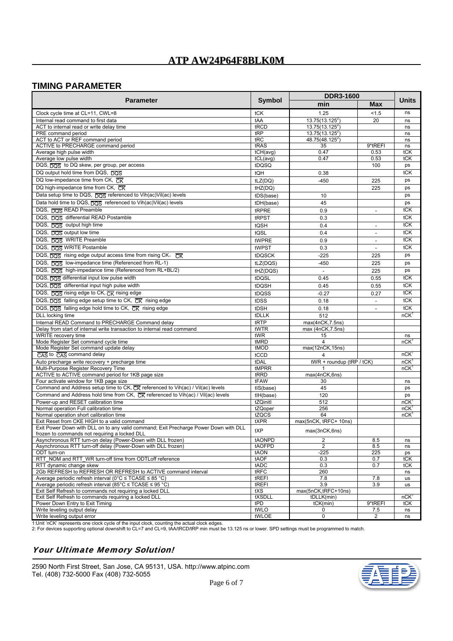# **TIMING PARAMETER**

|                                                                                                                                     |               | <b>DDR3-1600</b>          |                          |                  |
|-------------------------------------------------------------------------------------------------------------------------------------|---------------|---------------------------|--------------------------|------------------|
| <b>Parameter</b>                                                                                                                    | Symbol        | min<br>Max                |                          | <b>Units</b>     |
| Clock cycle time at CL=11, CWL=8                                                                                                    | tCK           | 1.25                      | 1.5                      | ns               |
| Internal read command to first data                                                                                                 | tAA           | $13.75(13.125^2)$         | 20                       | ns               |
| ACT to internal read or write delay time                                                                                            | tRCD          | $13.75(13.125^2)$         |                          | ns               |
| PRE command period                                                                                                                  | tRP           | $13.75(13.125^2)$         |                          | ns               |
| ACT to ACT or REF command period                                                                                                    | tRC           | $48.75(48.125^2)$         |                          | ns               |
| ACTIVE to PRECHARGE command period                                                                                                  | tRAS          | 35                        | 9*tREFI                  | ns               |
| Average high pulse width                                                                                                            | tCH(avg)      | 0.47                      | 0.53                     | tCK              |
| Average low pulse width                                                                                                             | tCL(avg)      | 0.47                      | 0.53                     | tCK              |
| DQS, DQS to DQ skew, per group, per access                                                                                          | tDQSQ         |                           | 100                      | ps               |
| DQ output hold time from DQS, DQS                                                                                                   | tQH           | 0.38                      |                          | tCK              |
| DQ low-impedance time from CK, $\overline{CK}$                                                                                      | tLZ(DQ)       | $-450$                    | 225                      | ps               |
| DQ high-impedance time from CK, CK                                                                                                  | tHZ(DQ)       |                           | 225                      | ps               |
| Data setup time to DQS, DOS referenced to Vih(ac)Vil(ac) levels                                                                     | tDS(base)     | 10                        |                          | ps               |
| Data hold time to DQS, DOS referenced to Vih(ac)Vil(ac) levels                                                                      | tDH(base)     | 45                        |                          | ps               |
| DQS, DOS READ Preamble                                                                                                              | tRPRE         | 0.9                       | $\overline{a}$           | tCK              |
| DQS, DOS differential READ Postamble                                                                                                | tRPST         | 0.3                       |                          | tCK              |
| DQS, DQS output high time                                                                                                           | tQSH          | 0.4                       | $\overline{\phantom{a}}$ | tCK              |
| DQS, DQS output low time                                                                                                            | tQSL          | 0.4                       |                          | tCK              |
| DQS, DOS WRITE Preamble                                                                                                             | tWPRE         | 0.9                       |                          | tCK              |
|                                                                                                                                     |               |                           |                          |                  |
| DQS, DOS WRITE Postamble                                                                                                            | tWPST         | 0.3                       | $\overline{a}$           | tCK              |
| DQS, DQS rising edge output access time from rising CK, CK                                                                          | tDQSCK        | $-225$                    | 225                      | ps               |
| DQS, DQS low-impedance time (Referenced from RL-1)                                                                                  | tLZ(DQS)      | $-450$                    | 225                      | ps               |
| DQS, DQS high-impedance time (Referenced from RL+BL/2)                                                                              | tHZ(DQS)      | $\overline{\phantom{a}}$  | 225                      | ps               |
| DQS, DOS differential input low pulse width                                                                                         | tDQSL         | 0.45                      | 0.55                     | tCK              |
| DQS, DQS differential input high pulse width                                                                                        | tDQSH         | 0.45                      | 0.55                     | tCK              |
| DQS, DOS rising edge to CK, CK rising edge                                                                                          | tDQSS         | $-0.27$                   | 0.27                     | tCK              |
| DQS, $\overline{DOS}$ falling edge setup time to CK, $\overline{CK}$ rising edge                                                    | tDSS          | 0.18                      | $\overline{\phantom{a}}$ | tCK              |
| DQS, DQS falling edge hold time to CK, CK rising edge                                                                               | tDSH          | 0.18                      |                          | tCK              |
| DLL locking time                                                                                                                    | tDLLK         | 512                       |                          | nCK              |
| Internal READ Command to PRECHARGE Command delay                                                                                    | tRTP          | max(4nCK,7.5ns)           |                          |                  |
| Delay from start of internal write transaction to internal read command                                                             | tWTR          | max (4nCK, 7.5ns)         |                          |                  |
| WRITE recovery time                                                                                                                 | tWR           | 15                        |                          | ns               |
| Mode Register Set command cycle time                                                                                                | tMRD          | 4                         |                          | nCK              |
| Mode Register Set command update delay                                                                                              | tMOD          | max(12nCK,15ns)           |                          |                  |
| CAS to CAS command delay                                                                                                            | tCCD          | 4                         |                          | nCK              |
| Auto precharge write recovery + precharge time                                                                                      | tDAL          | tWR + roundup (tRP / tCK) |                          | nCK              |
| Multi-Purpose Register Recovery Time                                                                                                | tMPRR         |                           |                          | nCK              |
| ACTIVE to ACTIVE command period for 1KB page size                                                                                   | tRRD          | max(4nCK,6ns)             |                          |                  |
| Four activate window for 1KB page size                                                                                              | tFAW          | 30                        |                          | ns               |
| Command and Address setup time to CK, CK referenced to Vih(ac) / Vil(ac) levels                                                     | tIS(base)     | 45                        |                          | ps               |
| Command and Address hold time from CK, $\overline{CK}$ referenced to Vih(ac) / Vil(ac) levels                                       | tlH(base)     | 120                       |                          | ps               |
| Power-up and RESET calibration time                                                                                                 | tZQinitl      | 512                       |                          | nCK              |
| Normal operation Full calibration time                                                                                              | tZQoper       | 256                       |                          | nCK              |
| Normal operation short calibration time                                                                                             | tZQCS         | 64                        |                          | nCK              |
| Exit Reset from CKE HIGH to a valid command<br>Exit Power Down with DLL on to any valid command; Exit Precharge Power Down with DLL | tXPR          | max(5nCK, tRFC+ 10ns)     |                          |                  |
| frozen to commands not requiring a locked DLL                                                                                       | tXP           | max(3nCK,6ns)             |                          |                  |
| Asynchronous RTT turn-on delay (Power-Down with DLL frozen)                                                                         | tAONPD        | $\overline{c}$            | 8.5                      | ns               |
| Asynchronous RTT turn-off delay (Power-Down with DLL frozen)                                                                        | tAOFPD        | $\mathbf{2}$              | 8.5                      | ns               |
| ODT turn-on                                                                                                                         | tAON          | $-225$                    | 225                      | ps               |
| RTT_NOM and RTT_WR turn-off time from ODTLoff reference                                                                             | tAOF          | 0.3                       | 0.7                      | tCK              |
| RTT dynamic change skew                                                                                                             | tADC          | 0.3                       | 0.7                      | tCK              |
| 2Gb REFRESH to REFRESH OR REFRESH to ACTIVE command interval                                                                        | tRFC          | 260                       |                          | ns               |
| Average periodic refresh interval ( $0^{\circ}$ C $\leq$ TCASE $\leq$ 85 $^{\circ}$ C)                                              | tREFI         | 7.8                       | 7.8                      | us               |
| Average periodic refresh interval (85°C ≤ TCASE ≤ 95 °C)                                                                            | tREFI         | 3.9                       | 3.9                      | us               |
| Exit Self Refresh to commands not requiring a locked DLL                                                                            | tXS           | max(5nCK,tRFC+10ns)       |                          | nCK <sup>1</sup> |
| Exit Self Refresh to commands requiring a locked DLL<br>Power Down Entry to Exit Timing                                             | tXSDLL<br>tPD | tDLLK(min)<br>tCK(min)    | 9*tREFI                  | tCK              |
| Write leveling output delay                                                                                                         | tWLO          | 0                         | 7.5                      | ns               |
| Write leveling output error                                                                                                         | tWLOE         | 0                         | 2                        | ns               |

1:Unit 'nCK' represents one clock cycle of the input clock, counting the actual clock edges.<br>2: For devices supporting optional downshift to CL=7 and CL=9, tAA/tRCD/tRP min must be 13.125 ns or lower. SPD settings must be

# Your Ultimate Memory Solution!